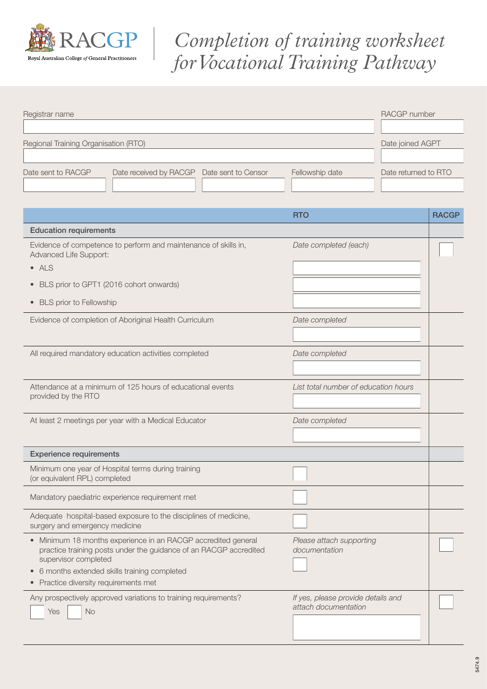

## *Completion of training worksheet for Vocational Training Pathway*

| Registrar name                                                                                                                                             | RACGP number                              |                      |
|------------------------------------------------------------------------------------------------------------------------------------------------------------|-------------------------------------------|----------------------|
|                                                                                                                                                            |                                           |                      |
| Regional Training Organisation (RTO)                                                                                                                       | Date joined AGPT                          |                      |
|                                                                                                                                                            |                                           |                      |
| Date sent to RACGP<br>Date received by RACGP<br>Date sent to Censor                                                                                        | Fellowship date                           | Date returned to RTO |
|                                                                                                                                                            |                                           |                      |
|                                                                                                                                                            |                                           |                      |
|                                                                                                                                                            | <b>RTO</b>                                | <b>RACGP</b>         |
| <b>Education requirements</b>                                                                                                                              |                                           |                      |
| Evidence of competence to perform and maintenance of skills in,<br>Advanced Life Support:                                                                  | Date completed (each)                     |                      |
| $\nightharpoonup$ ALS                                                                                                                                      |                                           |                      |
| BLS prior to GPT1 (2016 cohort onwards)<br>$\bullet$                                                                                                       |                                           |                      |
| • BLS prior to Fellowship                                                                                                                                  |                                           |                      |
|                                                                                                                                                            |                                           |                      |
| Evidence of completion of Aboriginal Health Curriculum                                                                                                     | Date completed                            |                      |
|                                                                                                                                                            |                                           |                      |
| All required mandatory education activities completed                                                                                                      | Date completed                            |                      |
|                                                                                                                                                            |                                           |                      |
| Attendance at a minimum of 125 hours of educational events                                                                                                 | List total number of education hours      |                      |
| provided by the RTO                                                                                                                                        |                                           |                      |
| At least 2 meetings per year with a Medical Educator                                                                                                       | Date completed                            |                      |
|                                                                                                                                                            |                                           |                      |
|                                                                                                                                                            |                                           |                      |
| <b>Experience requirements</b>                                                                                                                             |                                           |                      |
| Minimum one year of Hospital terms during training<br>(or equivalent RPL) completed                                                                        |                                           |                      |
| Mandatory paediatric experience requirement met                                                                                                            |                                           |                      |
| Adequate hospital-based exposure to the disciplines of medicine,<br>surgery and emergency medicine                                                         |                                           |                      |
| • Minimum 18 months experience in an RACGP accredited general<br>practice training posts under the guidance of an RACGP accredited<br>supervisor completed | Please attach supporting<br>documentation |                      |
| 6 months extended skills training completed                                                                                                                |                                           |                      |
| Practice diversity requirements met<br>$\bullet$                                                                                                           |                                           |                      |
| Any prospectively approved variations to training requirements?                                                                                            | If yes, please provide details and        |                      |
| No<br>Yes                                                                                                                                                  | attach documentation                      |                      |
|                                                                                                                                                            |                                           |                      |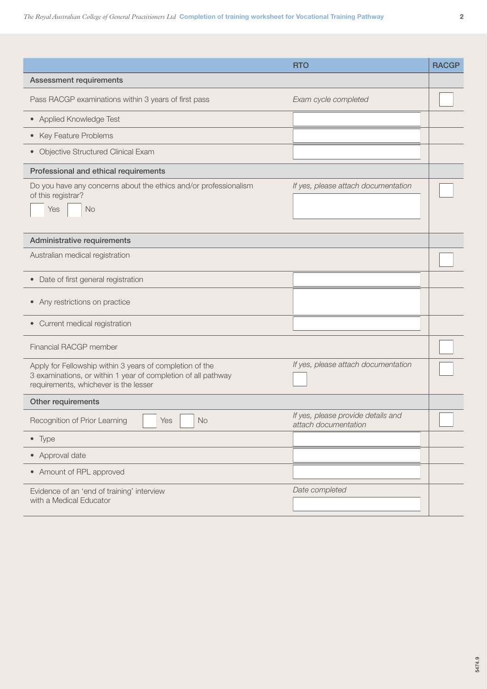|                                                                                                                                                                    | <b>RTO</b>                                                 | <b>RACGP</b> |
|--------------------------------------------------------------------------------------------------------------------------------------------------------------------|------------------------------------------------------------|--------------|
| <b>Assessment requirements</b>                                                                                                                                     |                                                            |              |
| Pass RACGP examinations within 3 years of first pass                                                                                                               | Exam cycle completed                                       |              |
| • Applied Knowledge Test                                                                                                                                           |                                                            |              |
| • Key Feature Problems                                                                                                                                             |                                                            |              |
| • Objective Structured Clinical Exam                                                                                                                               |                                                            |              |
| Professional and ethical requirements                                                                                                                              |                                                            |              |
| Do you have any concerns about the ethics and/or professionalism<br>of this registrar?<br>Yes<br><b>No</b>                                                         | If yes, please attach documentation                        |              |
| Administrative requirements                                                                                                                                        |                                                            |              |
| Australian medical registration                                                                                                                                    |                                                            |              |
| Date of first general registration<br>$\bullet$                                                                                                                    |                                                            |              |
| • Any restrictions on practice                                                                                                                                     |                                                            |              |
| • Current medical registration                                                                                                                                     |                                                            |              |
| Financial RACGP member                                                                                                                                             |                                                            |              |
| Apply for Fellowship within 3 years of completion of the<br>3 examinations, or within 1 year of completion of all pathway<br>requirements, whichever is the lesser | If yes, please attach documentation                        |              |
| Other requirements                                                                                                                                                 |                                                            |              |
| Yes<br>Recognition of Prior Learning<br><b>No</b>                                                                                                                  | If yes, please provide details and<br>attach documentation |              |
| $\bullet$ Type                                                                                                                                                     |                                                            |              |
| • Approval date                                                                                                                                                    |                                                            |              |
| • Amount of RPL approved                                                                                                                                           |                                                            |              |
| Evidence of an 'end of training' interview<br>with a Medical Educator                                                                                              | Date completed                                             |              |